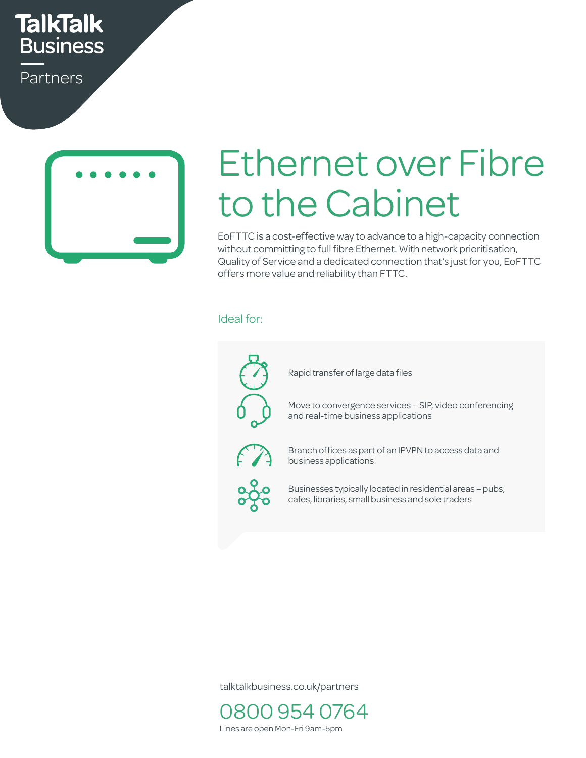# **TalkTalk Business**

Partners



# Ethernet over Fibre to the Cabinet

EoFTTC is a cost-effective way to advance to a high-capacity connection without committing to full fibre Ethernet. With network prioritisation, Quality of Service and a dedicated connection that's just for you, EoFTTC offers more value and reliability than FTTC.  $\frac{1}{2}$  $n \in \mathcal{V}$ a

#### Ideal for:  $C<sub>1</sub>$  call Centres Equation business Up to  $C<sub>1</sub>$



talktalkbusiness.co.uk/partners